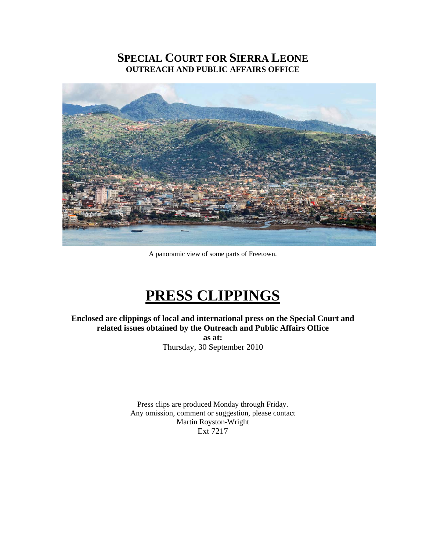#### **SPECIAL COURT FOR SIERRA LEONE OUTREACH AND PUBLIC AFFAIRS OFFICE**



A panoramic view of some parts of Freetown.

### **PRESS CLIPPINGS**

**Enclosed are clippings of local and international press on the Special Court and related issues obtained by the Outreach and Public Affairs Office** 

> **as at:**  Thursday, 30 September 2010

Press clips are produced Monday through Friday. Any omission, comment or suggestion, please contact Martin Royston-Wright Ext 7217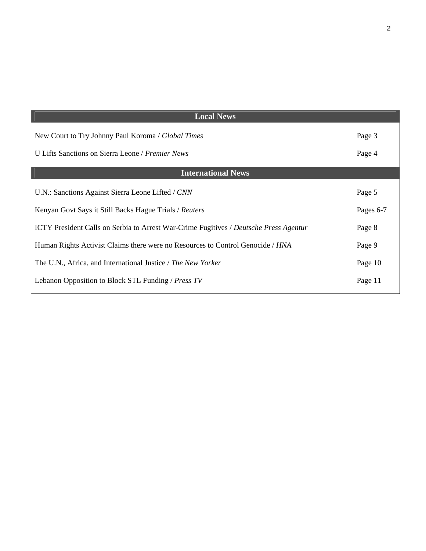| <b>Local News</b>                                                                            |           |
|----------------------------------------------------------------------------------------------|-----------|
| New Court to Try Johnny Paul Koroma / Global Times                                           | Page 3    |
| U Lifts Sanctions on Sierra Leone / Premier News                                             | Page 4    |
| <b>International News</b>                                                                    |           |
| U.N.: Sanctions Against Sierra Leone Lifted / CNN                                            | Page 5    |
| Kenyan Govt Says it Still Backs Hague Trials / Reuters                                       | Pages 6-7 |
| <b>ICTY President Calls on Serbia to Arrest War-Crime Fugitives / Deutsche Press Agentur</b> | Page 8    |
| Human Rights Activist Claims there were no Resources to Control Genocide / HNA               | Page 9    |
| The U.N., Africa, and International Justice / The New Yorker                                 | Page 10   |
| Lebanon Opposition to Block STL Funding / Press TV                                           | Page 11   |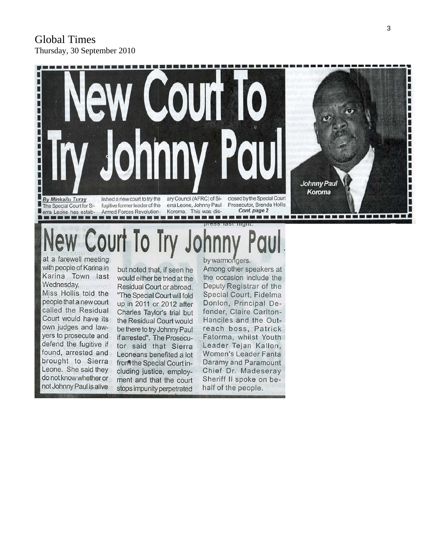#### Global Times Thursday, 30 September 2010



# Court To Try

at a farewell meeting with people of Karina in Karina Town last Wednesday. Miss Hollis told the people that a new court called the Residual Court would have its own judges and lawyers to prosecute and defend the fugitive if found, arrested and brought to Sierra Leone. She said they do not know whether or not Johnny Paul is alive

but noted that, if seen he would either be tried at the Residual Court or abroad. "The Special Court will fold up in 2011 or 2012 after Charles Taylor's trial but the Residual Court would be there to try Johnny Paul if arrested". The Prosecutor said that Sierra Leoneans benefited a lot from the Special Court including justice, employment and that the court stops impunity perpetrated

by warmongers.

Among other speakers at the occasion include the Deputy Registrar of the Special Court, Fidelma Donlon, Principal Defender, Claire Carlton-Hanciles and the Outreach boss, Patrick Fatorma, whilst Youth Leader Tejan Kallon, Women's Leader Fanta Daramy and Paramount Chief Dr. Madeseray Sheriff II spoke on behalf of the people.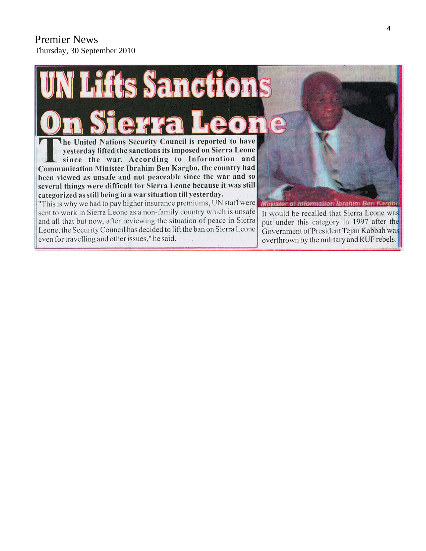#### Premier News Thursday, 30 September 2010

## **Lifts Sanctions**  $\left(\frac{\rho}{\sigma}\right)$ he United Nations Security Council is reported to have

yesterday lifted the sanctions its imposed on Sierra Leone since the war. According to Information and Communication Minister Ibrahim Ben Kargbo, the country had been viewed as unsafe and not peaceable since the war and so several things were difficult for Sierra Leone because it was still categorized as still being in a war situation till yesterday.

"This is why we had to pay higher insurance premiums, UN staff were sent to work in Sierra Leone as a non-family country which is unsafe and all that but now, after reviewing the situation of peace in Sierra Leone, the Security Council has decided to lift the ban on Sierra Leone even for travelling and other issues," he said.

**Information Ibrahim Ben Kardbo** 

It would be recalled that Sierra Leone was put under this category in 1997 after the Government of President Tejan Kabbah was overthrown by the military and RUF rebels.

4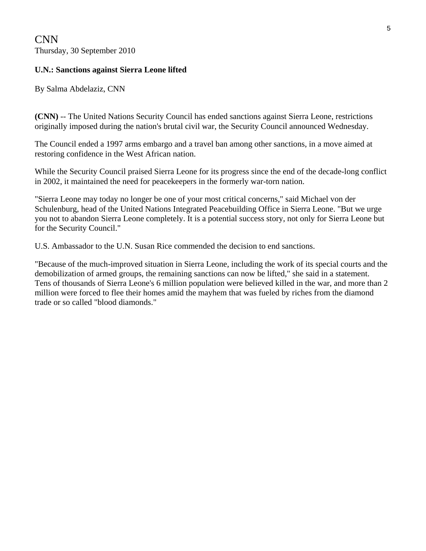CNN Thursday, 30 September 2010

#### **U.N.: Sanctions against Sierra Leone lifted**

By Salma Abdelaziz, CNN

**(CNN)** -- The United Nations Security Council has ended sanctions against Sierra Leone, restrictions originally imposed during the nation's brutal civil war, the Security Council announced Wednesday.

The Council ended a 1997 arms embargo and a travel ban among other sanctions, in a move aimed at restoring confidence in the West African nation.

While the Security Council praised Sierra Leone for its progress since the end of the decade-long conflict in 2002, it maintained the need for peacekeepers in the formerly war-torn nation.

"Sierra Leone may today no longer be one of your most critical concerns," said Michael von der Schulenburg, head of the United Nations Integrated Peacebuilding Office in Sierra Leone. "But we urge you not to abandon Sierra Leone completely. It is a potential success story, not only for Sierra Leone but for the Security Council."

U.S. Ambassador to the U.N. Susan Rice commended the decision to end sanctions.

"Because of the much-improved situation in Sierra Leone, including the work of its special courts and the demobilization of armed groups, the remaining sanctions can now be lifted," she said in a statement. Tens of thousands of Sierra Leone's 6 million population were believed killed in the war, and more than 2 million were forced to flee their homes amid the mayhem that was fueled by riches from the diamond trade or so called "blood diamonds."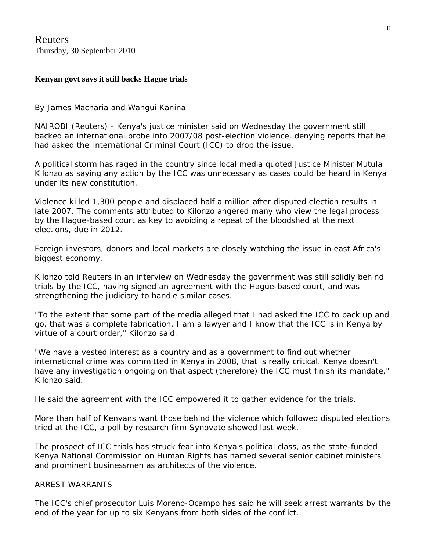Reuters Thursday, 30 September 2010

#### **Kenyan govt says it still backs Hague trials**

By James Macharia and Wangui Kanina

NAIROBI (Reuters) - Kenya's justice minister said on Wednesday the government still backed an international probe into 2007/08 post-election violence, denying reports that he had asked the International Criminal Court (ICC) to drop the issue.

A political storm has raged in the country since local media quoted Justice Minister Mutula Kilonzo as saying any action by the ICC was unnecessary as cases could be heard in Kenya under its new constitution.

Violence killed 1,300 people and displaced half a million after disputed election results in late 2007. The comments attributed to Kilonzo angered many who view the legal process by the Hague-based court as key to avoiding a repeat of the bloodshed at the next elections, due in 2012.

Foreign investors, donors and local markets are closely watching the issue in east Africa's biggest economy.

Kilonzo told Reuters in an interview on Wednesday the government was still solidly behind trials by the ICC, having signed an agreement with the Hague-based court, and was strengthening the judiciary to handle similar cases.

"To the extent that some part of the media alleged that I had asked the ICC to pack up and go, that was a complete fabrication. I am a lawyer and I know that the ICC is in Kenya by virtue of a court order," Kilonzo said.

"We have a vested interest as a country and as a government to find out whether international crime was committed in Kenya in 2008, that is really critical. Kenya doesn't have any investigation ongoing on that aspect (therefore) the ICC must finish its mandate," Kilonzo said.

He said the agreement with the ICC empowered it to gather evidence for the trials.

More than half of Kenyans want those behind the violence which followed disputed elections tried at the ICC, a poll by research firm Synovate showed last week.

The prospect of ICC trials has struck fear into Kenya's political class, as the state-funded Kenya National Commission on Human Rights has named several senior cabinet ministers and prominent businessmen as architects of the violence.

#### ARREST WARRANTS

The ICC's chief prosecutor Luis Moreno-Ocampo has said he will seek arrest warrants by the end of the year for up to six Kenyans from both sides of the conflict.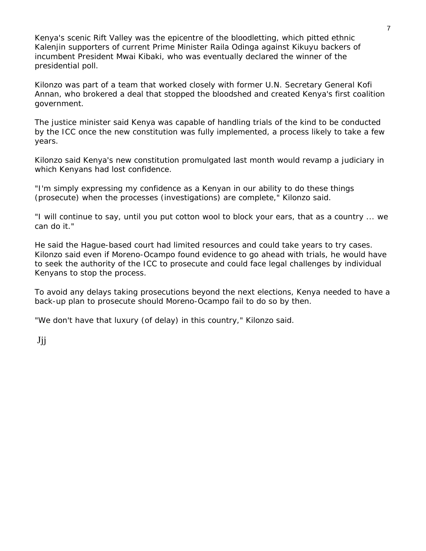Kenya's scenic Rift Valley was the epicentre of the bloodletting, which pitted ethnic Kalenjin supporters of current Prime Minister Raila Odinga against Kikuyu backers of incumbent President Mwai Kibaki, who was eventually declared the winner of the presidential poll.

Kilonzo was part of a team that worked closely with former U.N. Secretary General Kofi Annan, who brokered a deal that stopped the bloodshed and created Kenya's first coalition government.

The justice minister said Kenya was capable of handling trials of the kind to be conducted by the ICC once the new constitution was fully implemented, a process likely to take a few years.

Kilonzo said Kenya's new constitution promulgated last month would revamp a judiciary in which Kenyans had lost confidence.

"I'm simply expressing my confidence as a Kenyan in our ability to do these things (prosecute) when the processes (investigations) are complete," Kilonzo said.

"I will continue to say, until you put cotton wool to block your ears, that as a country ... we can do it."

He said the Hague-based court had limited resources and could take years to try cases. Kilonzo said even if Moreno-Ocampo found evidence to go ahead with trials, he would have to seek the authority of the ICC to prosecute and could face legal challenges by individual Kenyans to stop the process.

To avoid any delays taking prosecutions beyond the next elections, Kenya needed to have a back-up plan to prosecute should Moreno-Ocampo fail to do so by then.

"We don't have that luxury (of delay) in this country," Kilonzo said.

Jjj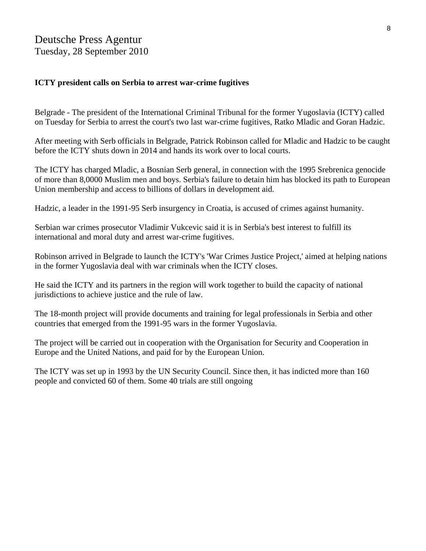#### **ICTY president calls on Serbia to arrest war-crime fugitives**

Belgrade - The president of the International Criminal Tribunal for the former Yugoslavia (ICTY) called on Tuesday for Serbia to arrest the court's two last war-crime fugitives, Ratko Mladic and Goran Hadzic.

After meeting with Serb officials in Belgrade, Patrick Robinson called for Mladic and Hadzic to be caught before the ICTY shuts down in 2014 and hands its work over to local courts.

The ICTY has charged Mladic, a Bosnian Serb general, in connection with the 1995 Srebrenica genocide of more than 8,0000 Muslim men and boys. Serbia's failure to detain him has blocked its path to European Union membership and access to billions of dollars in development aid.

Hadzic, a leader in the 1991-95 Serb insurgency in Croatia, is accused of crimes against humanity.

Serbian war crimes prosecutor Vladimir Vukcevic said it is in Serbia's best interest to fulfill its international and moral duty and arrest war-crime fugitives.

Robinson arrived in Belgrade to launch the ICTY's 'War Crimes Justice Project,' aimed at helping nations in the former Yugoslavia deal with war criminals when the ICTY closes.

He said the ICTY and its partners in the region will work together to build the capacity of national jurisdictions to achieve justice and the rule of law.

The 18-month project will provide documents and training for legal professionals in Serbia and other countries that emerged from the 1991-95 wars in the former Yugoslavia.

The project will be carried out in cooperation with the Organisation for Security and Cooperation in Europe and the United Nations, and paid for by the European Union.

The ICTY was set up in 1993 by the UN Security Council. Since then, it has indicted more than 160 people and convicted 60 of them. Some 40 trials are still ongoing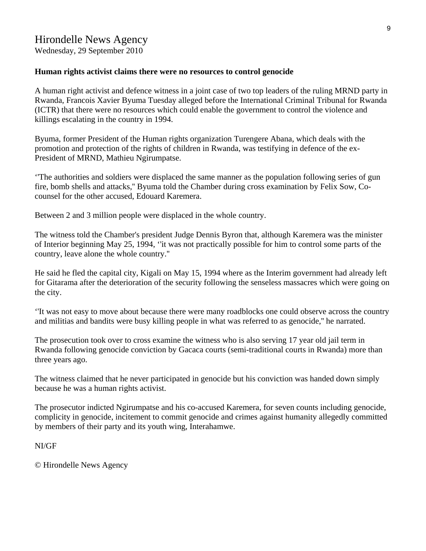Wednesday, 29 September 2010

#### **Human rights activist claims there were no resources to control genocide**

A human right activist and defence witness in a joint case of two top leaders of the ruling MRND party in Rwanda, Francois Xavier Byuma Tuesday alleged before the International Criminal Tribunal for Rwanda (ICTR) that there were no resources which could enable the government to control the violence and killings escalating in the country in 1994.

Byuma, former President of the Human rights organization Turengere Abana, which deals with the promotion and protection of the rights of children in Rwanda, was testifying in defence of the ex-President of MRND, Mathieu Ngirumpatse.

''The authorities and soldiers were displaced the same manner as the population following series of gun fire, bomb shells and attacks,'' Byuma told the Chamber during cross examination by Felix Sow, Cocounsel for the other accused, Edouard Karemera.

Between 2 and 3 million people were displaced in the whole country.

The witness told the Chamber's president Judge Dennis Byron that, although Karemera was the minister of Interior beginning May 25, 1994, ''it was not practically possible for him to control some parts of the country, leave alone the whole country.''

He said he fled the capital city, Kigali on May 15, 1994 where as the Interim government had already left for Gitarama after the deterioration of the security following the senseless massacres which were going on the city.

''It was not easy to move about because there were many roadblocks one could observe across the country and militias and bandits were busy killing people in what was referred to as genocide,'' he narrated.

The prosecution took over to cross examine the witness who is also serving 17 year old jail term in Rwanda following genocide conviction by Gacaca courts (semi-traditional courts in Rwanda) more than three years ago.

The witness claimed that he never participated in genocide but his conviction was handed down simply because he was a human rights activist.

The prosecutor indicted Ngirumpatse and his co-accused Karemera, for seven counts including genocide, complicity in genocide, incitement to commit genocide and crimes against humanity allegedly committed by members of their party and its youth wing, Interahamwe.

#### NI/GF

© Hirondelle News Agency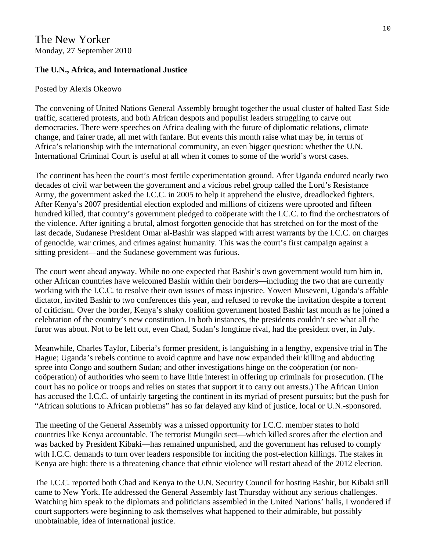#### The New Yorker Monday, 27 September 2010

#### **The U.N., Africa, and International Justice**

#### Posted by Alexis Okeowo

The convening of United Nations General Assembly brought together the usual cluster of halted East Side traffic, scattered protests, and both African despots and populist leaders struggling to carve out democracies. There were speeches on Africa dealing with the future of diplomatic relations, climate change, and fairer trade, all met with fanfare. But events this month raise what may be, in terms of Africa's relationship with the international community, an even bigger question: whether the U.N. International Criminal Court is useful at all when it comes to some of the world's worst cases.

The continent has been the court's most fertile experimentation ground. After Uganda endured nearly two decades of civil war between the government and a vicious rebel group called the Lord's Resistance Army, the government asked the I.C.C. in 2005 to help it apprehend the elusive, dreadlocked fighters. After Kenya's 2007 presidential election exploded and millions of citizens were uprooted and fifteen hundred killed, that country's government pledged to coöperate with the I.C.C. to find the orchestrators of the violence. After igniting a brutal, almost forgotten genocide that has stretched on for the most of the last decade, Sudanese President Omar al-Bashir was slapped with arrest warrants by the I.C.C. on charges of genocide, war crimes, and crimes against humanity. This was the court's first campaign against a sitting president—and the Sudanese government was furious.

The court went ahead anyway. While no one expected that Bashir's own government would turn him in, other African countries have welcomed Bashir within their borders—including the two that are currently working with the I.C.C. to resolve their own issues of mass injustice. Yoweri Museveni, Uganda's affable dictator, invited Bashir to two conferences this year, and refused to revoke the invitation despite a torrent of criticism. Over the border, Kenya's shaky coalition government hosted Bashir last month as he joined a celebration of the country's new constitution. In both instances, the presidents couldn't see what all the furor was about. Not to be left out, even Chad, Sudan's longtime rival, had the president over, in July.

Meanwhile, Charles Taylor, Liberia's former president, is languishing in a lengthy, expensive trial in The Hague; Uganda's rebels continue to avoid capture and have now expanded their killing and abducting spree into Congo and southern Sudan; and other investigations hinge on the coöperation (or noncoöperation) of authorities who seem to have little interest in offering up criminals for prosecution. (The court has no police or troops and relies on states that support it to carry out arrests.) The African Union has accused the I.C.C. of unfairly targeting the continent in its myriad of present pursuits; but the push for "African solutions to African problems" has so far delayed any kind of justice, local or U.N.-sponsored.

The meeting of the General Assembly was a missed opportunity for I.C.C. member states to hold countries like Kenya accountable. The terrorist Mungiki sect—which killed scores after the election and was backed by President Kibaki—has remained unpunished, and the government has refused to comply with I.C.C. demands to turn over leaders responsible for inciting the post-election killings. The stakes in Kenya are high: there is a threatening chance that ethnic violence will restart ahead of the 2012 election.

The I.C.C. reported both Chad and Kenya to the U.N. Security Council for hosting Bashir, but Kibaki still came to New York. He addressed the General Assembly last Thursday without any serious challenges. Watching him speak to the diplomats and politicians assembled in the United Nations' halls, I wondered if court supporters were beginning to ask themselves what happened to their admirable, but possibly unobtainable, idea of international justice.